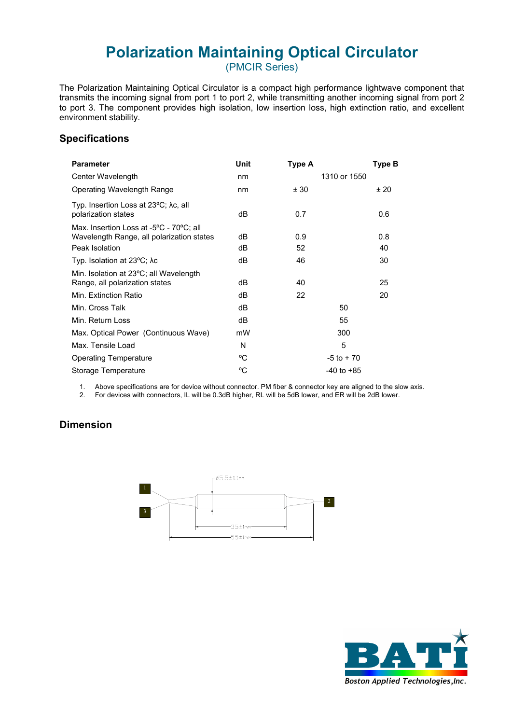# **Polarization Maintaining Optical Circulator**

(PMCIR Series)

The Polarization Maintaining Optical Circulator is a compact high performance lightwave component that transmits the incoming signal from port 1 to port 2, while transmitting another incoming signal from port 2 to port 3. The component provides high isolation, low insertion loss, high extinction ratio, and excellent environment stability.

### **Specifications**

| <b>Parameter</b>                                                                                       | Unit     | Type A         | Type B    |
|--------------------------------------------------------------------------------------------------------|----------|----------------|-----------|
| Center Wavelength                                                                                      | nm       | 1310 or 1550   |           |
| Operating Wavelength Range                                                                             | nm       | ± 30           | ±20       |
| Typ. Insertion Loss at 23°C; λc, all<br>polarization states                                            | dВ       | 0.7            | 0.6       |
| Max. Insertion Loss at -5°C - 70°C; all<br>Wavelength Range, all polarization states<br>Peak Isolation | dВ<br>dB | 0.9<br>52      | 0.8<br>40 |
| Typ. Isolation at $23^{\circ}$ C; $\lambda$ c                                                          | dВ       | 46             | 30        |
| Min. Isolation at 23°C; all Wavelength<br>Range, all polarization states                               | dB       | 40             | 25        |
| Min. Extinction Ratio                                                                                  | dB       | 22             | 20        |
| Min. Cross Talk                                                                                        | dB       | 50             |           |
| Min. Return Loss                                                                                       | dB       | 55             |           |
| Max. Optical Power (Continuous Wave)                                                                   | mW       | 300            |           |
| Max. Tensile Load                                                                                      | N        | 5              |           |
| <b>Operating Temperature</b>                                                                           | °C       | $-5$ to $+70$  |           |
| Storage Temperature                                                                                    | °C       | $-40$ to $+85$ |           |

1. Above specifications are for device without connector. PM fiber & connector key are aligned to the slow axis.

2. For devices with connectors, IL will be 0.3dB higher, RL will be 5dB lower, and ER will be 2dB lower.

## **Dimension**